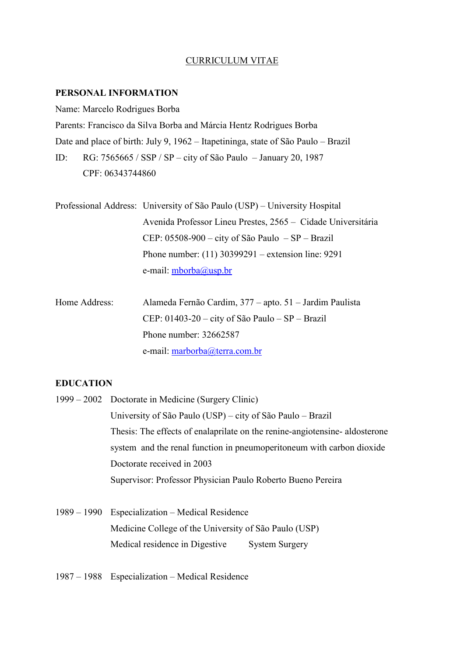#### CURRICULUM VITAE

#### **PERSONAL INFORMATION**

Name: Marcelo Rodrigues Borba Parents: Francisco da Silva Borba and Márcia Hentz Rodrigues Borba Date and place of birth: July 9, 1962 – Itapetininga, state of São Paulo – Brazil ID: RG: 7565665 / SSP / SP – city of São Paulo – January 20, 1987 CPF: 06343744860

| Professional Address: University of São Paulo (USP) – University Hospital |
|---------------------------------------------------------------------------|
| Avenida Professor Lineu Prestes, 2565 – Cidade Universitária              |
| CEP: $05508-900 - \text{city of São Paulo } - \text{SP} - \text{Brazil}$  |
| Phone number: $(11)$ 30399291 – extension line: 9291                      |
| e-mail: $mborba@$ usp.br                                                  |

Home Address: Alameda Fernão Cardim, 377 – apto. 51 – Jardim Paulista CEP: 01403-20 – city of São Paulo – SP – Brazil Phone number: 32662587 e-mail: marborba@terra.com.br

#### **EDUCATION**

- 1999 2002 Doctorate in Medicine (Surgery Clinic) University of São Paulo (USP) – city of São Paulo – Brazil Thesis: The effects of enalaprilate on the renine-angiotensine- aldosterone system and the renal function in pneumoperitoneum with carbon dioxide Doctorate received in 2003 Supervisor: Professor Physician Paulo Roberto Bueno Pereira
- 1989 1990 Especialization Medical Residence Medicine College of the University of São Paulo (USP) Medical residence in Digestive System Surgery
- 1987 1988 Especialization Medical Residence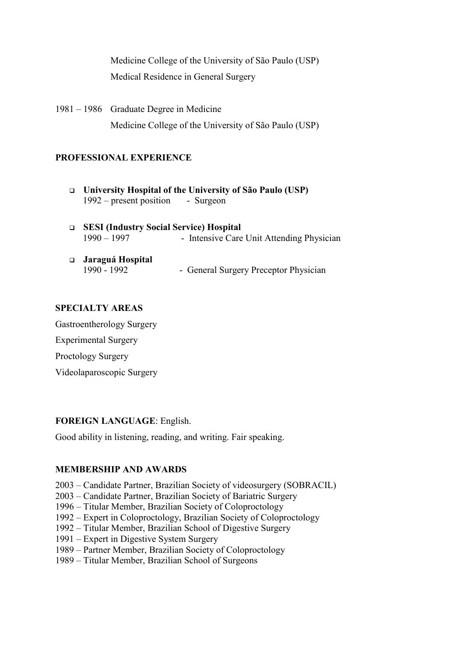Medicine College of the University of São Paulo (USP) Medical Residence in General Surgery

1981 – 1986 Graduate Degree in Medicine

Medicine College of the University of São Paulo (USP)

## **PROFESSIONAL EXPERIENCE**

- **University Hospital of the University of São Paulo (USP)**  $1992$  – present position
- **SESI (Industry Social Service) Hospital**  1990 – 1997 - Intensive Care Unit Attending Physician
- **Jaraguá Hospital**  - General Surgery Preceptor Physician

#### **SPECIALTY AREAS**

Gastroentherology Surgery Experimental Surgery Proctology Surgery Videolaparoscopic Surgery

## **FOREIGN LANGUAGE**: English.

Good ability in listening, reading, and writing. Fair speaking.

#### **MEMBERSHIP AND AWARDS**

- 2003 Candidate Partner, Brazilian Society of videosurgery (SOBRACIL)
- 2003 Candidate Partner, Brazilian Society of Bariatric Surgery
- 1996 Titular Member, Brazilian Society of Coloproctology
- 1992 Expert in Coloproctology, Brazilian Society of Coloproctology
- 1992 Titular Member, Brazilian School of Digestive Surgery
- 1991 Expert in Digestive System Surgery
- 1989 Partner Member, Brazilian Society of Coloproctology
- 1989 Titular Member, Brazilian School of Surgeons